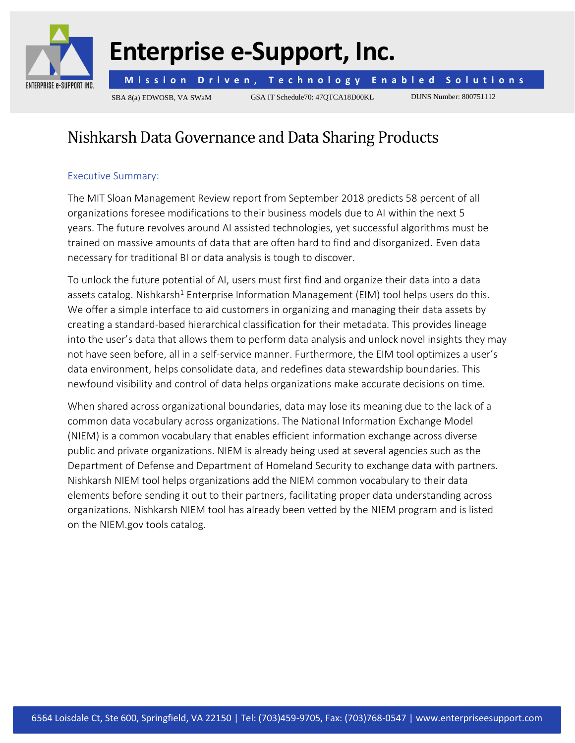

## **Enterprise e-Support, Inc.**

**Mission Driven, Technology Enabled Solutions** 

SBA 8(a) EDWOSB, VA SWaM GSA IT Schedule70: 47QTCA18D00KL DUNS Number: 800751112

## Nishkarsh Data Governance and Data Sharing Products

### Executive Summary:

The MIT Sloan Management Review report from September 2018 predicts 58 percent of all organizations foresee modifications to their business models due to AI within the next 5 years. The future revolves around AI assisted technologies, yet successful algorithms must be trained on massive amounts of data that are often hard to find and disorganized. Even data necessary for traditional BI or data analysis is tough to discover.

To unlock the future potential of AI, users must first find and organize their data into a data assets catalog. Nishkarsh<sup>1</sup> Enterprise Information Management (EIM) tool helps users do this. We offer a simple interface to aid customers in organizing and managing their data assets by creating a standard-based hierarchical classification for their metadata. This provides lineage into the user's data that allows them to perform data analysis and unlock novel insights they may not have seen before, all in a self-service manner. Furthermore, the EIM tool optimizes a user's data environment, helps consolidate data, and redefines data stewardship boundaries. This newfound visibility and control of data helps organizations make accurate decisions on time.

When shared across organizational boundaries, data may lose its meaning due to the lack of a common data vocabulary across organizations. The National Information Exchange Model (NIEM) is a common vocabulary that enables efficient information exchange across diverse public and private organizations. NIEM is already being used at several agencies such as the Department of Defense and Department of Homeland Security to exchange data with partners. Nishkarsh NIEM tool helps organizations add the NIEM common vocabulary to their data elements before sending it out to their partners, facilitating proper data understanding across organizations. Nishkarsh NIEM tool has already been vetted by the NIEM program and is listed on the NIEM.gov tools catalog.